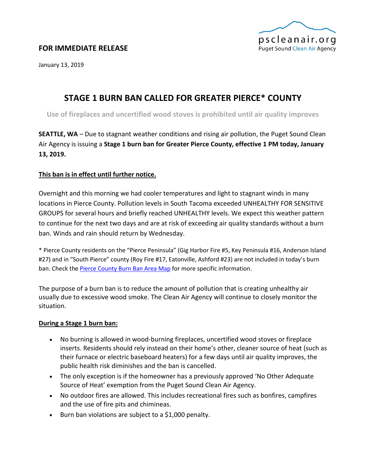

# **FOR IMMEDIATE RELEASE**

January 13, 2019

# **STAGE 1 BURN BAN CALLED FOR GREATER PIERCE\* COUNTY**

**Use of fireplaces and uncertified wood stoves is prohibited until air quality improves**

**SEATTLE, WA** – Due to stagnant weather conditions and rising air pollution, the Puget Sound Clean Air Agency is issuing a **Stage 1 burn ban for Greater Pierce County, effective 1 PM today, January 13, 2019.**

## **This ban is in effect until further notice.**

Overnight and this morning we had cooler temperatures and light to stagnant winds in many locations in Pierce County. Pollution levels in South Tacoma exceeded UNHEALTHY FOR SENSITIVE GROUPS for several hours and briefly reached UNHEALTHY levels. We expect this weather pattern to continue for the next two days and are at risk of exceeding air quality standards without a burn ban. Winds and rain should return by Wednesday.

\* Pierce County residents on the "Pierce Peninsula" (Gig Harbor Fire #5, Key Peninsula #16, Anderson Island #27) and in "South Pierce" county (Roy Fire #17, Eatonville, Ashford #23) are not included in today's burn ban. Check the **Pierce County Burn Ban Area Map** for more specific information.

The purpose of a burn ban is to reduce the amount of pollution that is creating unhealthy air usually due to excessive wood smoke. The Clean Air Agency will continue to closely monitor the situation.

#### **During a Stage 1 burn ban:**

- No burning is allowed in wood-burning fireplaces, uncertified wood stoves or fireplace inserts. Residents should rely instead on their home's other, cleaner source of heat (such as their furnace or electric baseboard heaters) for a few days until air quality improves, the public health risk diminishes and the ban is cancelled.
- The only exception is if the homeowner has a previously approved 'No Other Adequate Source of Heat' exemption from the Puget Sound Clean Air Agency.
- No outdoor fires are allowed. This includes recreational fires such as bonfires, campfires and the use of fire pits and chimineas.
- Burn ban violations are subject to a \$1,000 penalty.